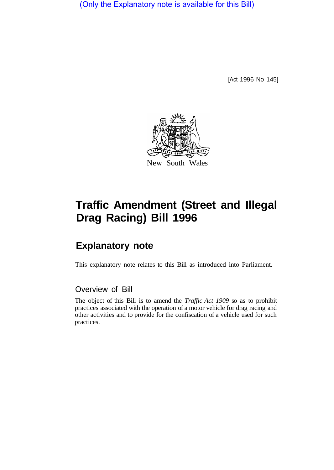(Only the Explanatory note is available for this Bill)

[Act 1996 No 145]



## **Traffic Amendment (Street and Illegal Drag Racing) Bill 1996**

## **Explanatory note**

This explanatory note relates to this Bill as introduced into Parliament.

## Overview of Bill

The object of this Bill is to amend the *Traffic Act 1909* so as to prohibit practices associated with the operation of a motor vehicle for drag racing and other activities and to provide for the confiscation of a vehicle used for such practices.